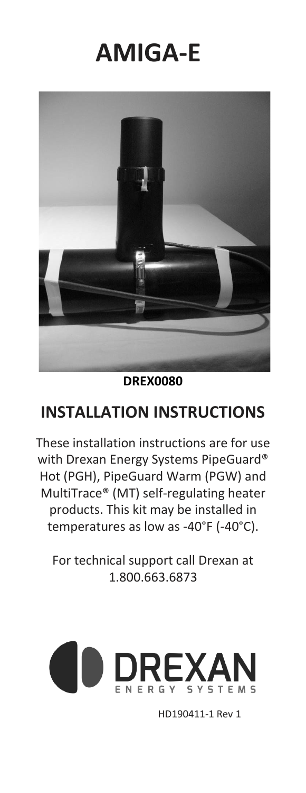# **AMIGA-E**



### **DREX0080**

### **INSTALLATION INSTRUCTIONS**

These installation instructions are for use with Drexan Energy Systems PipeGuard® Hot (PGH), PipeGuard Warm (PGW) and MultiTrace® (MT) self-regulating heater products. This kit may be installed in temperatures as low as -40°F (-40°C).

For technical support call Drexan at 1.800.663.6873



HD190411-1 Rev 1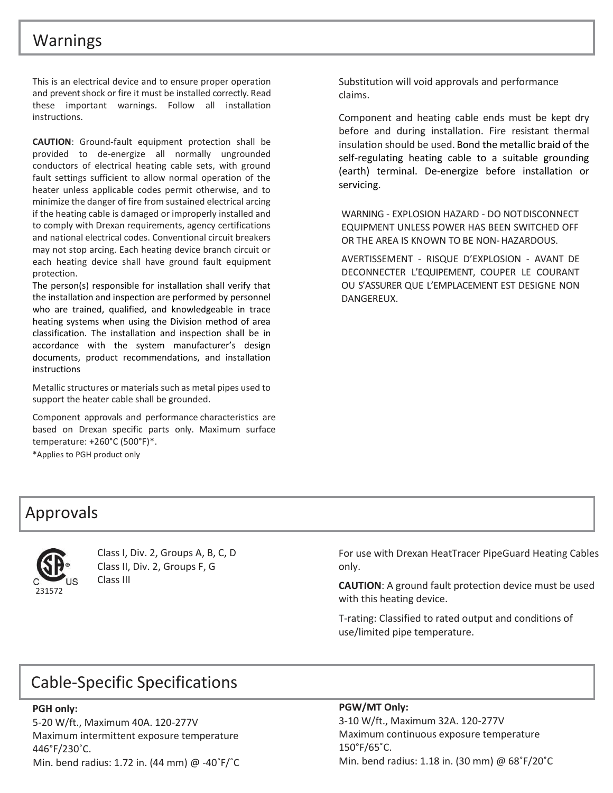### Warnings

This is an electrical device and to ensure proper operation and prevent shock or fire it must be installed correctly. Read these important warnings. Follow all installation instructions.

**CAUTION**: Ground-fault equipment protection shall be provided to de-energize all normally ungrounded conductors of electrical heating cable sets, with ground fault settings sufficient to allow normal operation of the heater unless applicable codes permit otherwise, and to minimize the danger of fire from sustained electrical arcing if the heating cable is damaged or improperly installed and to comply with Drexan requirements, agency certifications and national electrical codes. Conventional circuit breakers may not stop arcing. Each heating device branch circuit or each heating device shall have ground fault equipment protection.

The person(s) responsible for installation shall verify that the installation and inspection are performed by personnel who are trained, qualified, and knowledgeable in trace heating systems when using the Division method of area classification. The installation and inspection shall be in accordance with the system manufacturer's design documents, product recommendations, and installation instructions

Metallic structures or materials such as metal pipes used to support the heater cable shall be grounded.

Component approvals and performance characteristics are based on Drexan specific parts only. Maximum surface temperature: +260°C (500°F)\*.

\*Applies to PGH product only

Substitution will void approvals and performance claims.

Component and heating cable ends must be kept dry before and during installation. Fire resistant thermal insulation should be used. Bond the metallic braid of the self-regulating heating cable to a suitable grounding (earth) terminal. De-energize before installation or servicing.

WARNING - EXPLOSION HAZARD - DO NOTDISCONNECT EQUIPMENT UNLESS POWER HAS BEEN SWITCHED OFF OR THE AREA IS KNOWN TO BE NON-HAZARDOUS.

AVERTISSEMENT - RISQUE D'EXPLOSION - AVANT DE DECONNECTER L'EQUIPEMENT, COUPER LE COURANT OU S'ASSURER QUE L'EMPLACEMENT EST DESIGNE NON DANGEREUX.

### Approvals



Class I, Div. 2, Groups A, B, C, D Class II, Div. 2, Groups F, G Class III

For use with Drexan HeatTracer PipeGuard Heating Cables only.

**CAUTION**: A ground fault protection device must be used with this heating device.

T-rating: Classified to rated output and conditions of use/limited pipe temperature.

### Cable-Specific Specifications

#### **PGH only:**

5-20 W/ft., Maximum 40A. 120-277V Maximum intermittent exposure temperature 446°F/230˚C. Min. bend radius: 1.72 in. (44 mm) @ -40˚F/˚C

#### **PGW/MT Only:**

3-10 W/ft., Maximum 32A. 120-277V Maximum continuous exposure temperature 150°F/65˚C. Min. bend radius: 1.18 in. (30 mm) @ 68˚F/20˚C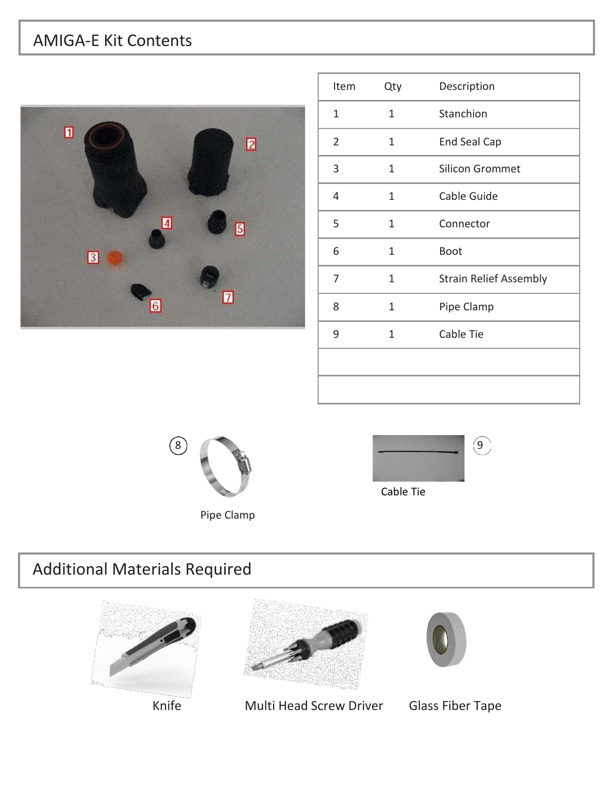# AMIGA-E Kit Contents



| Item           | Qty | Description                   |
|----------------|-----|-------------------------------|
| 1              | 1   | Stanchion                     |
| $\overline{2}$ | 1   | End Seal Cap                  |
| 3              | 1   | <b>Silicon Grommet</b>        |
| 4              | 1   | Cable Guide                   |
| 5              | 1   | Connector                     |
| 6              | 1   | <b>Boot</b>                   |
| 7              | 1   | <b>Strain Relief Assembly</b> |
| 8              | 1   | Pipe Clamp                    |
| 9              | 1   | Cable Tie                     |
|                |     |                               |
|                |     |                               |





# Additional Materials Required







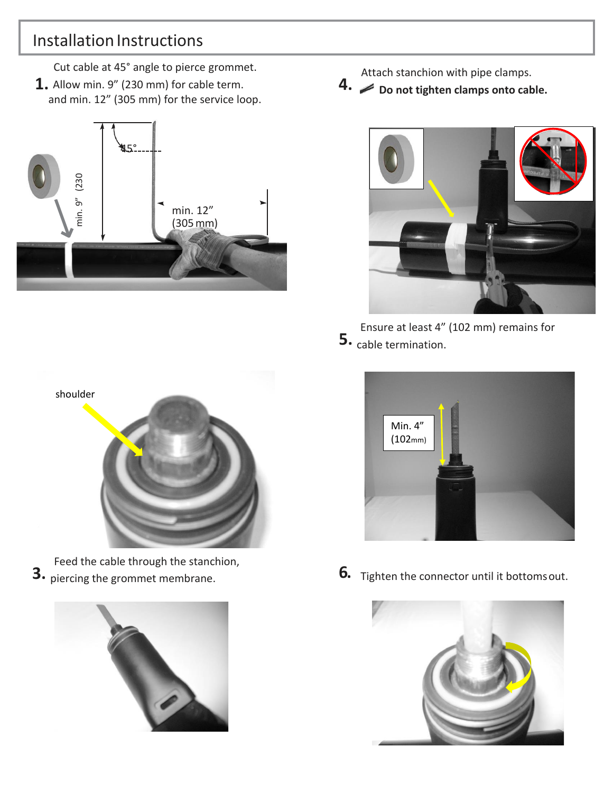### Installation Instructions

Cut cable at 45° angle to pierce grommet.

**1.** Allow min. 9" (230 mm) for cable term. and min. 12" (305 mm) for the service loop.



Attach stanchion with pipe clamps. **4. Do not tighten clamps onto cable.**



Ensure at least 4" (102 mm) remains for **5.** cable termination.



Feed the cable through the stanchion,<br>3. piercing the grommet membrane.





**6.** Tighten the connector until it bottoms out.

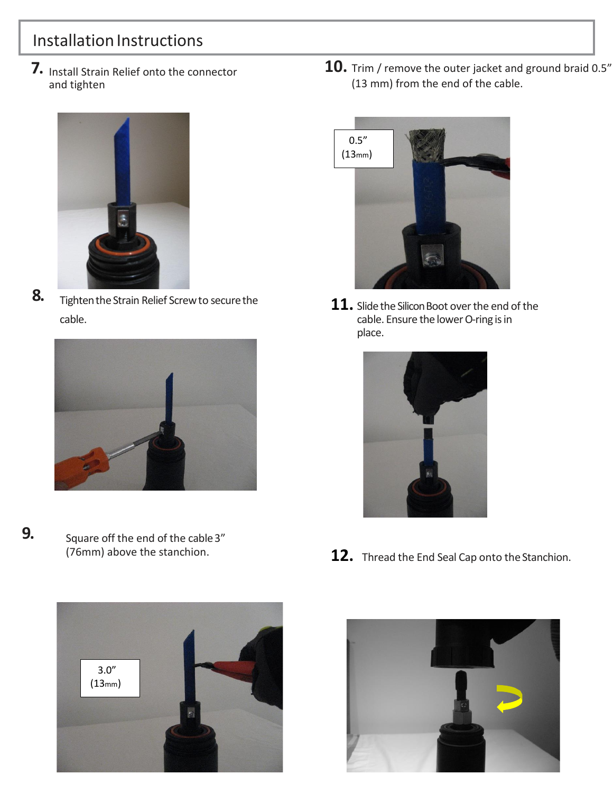# Installation Instructions

**7.** Install Strain Relief onto the connector and tighten



**8.** Tighten the Strain Relief Screw to secure the cable.



**9.** Square off the end of the cable 3" (76mm) above the stanchion.



**10.** Trim / remove the outer jacket and ground braid 0.5" (13 mm) from the end of the cable.



11. Slide the Silicon Boot over the end of the cable. Ensure the lower O-ring is in place.



12. Thread the End Seal Cap onto the Stanchion.